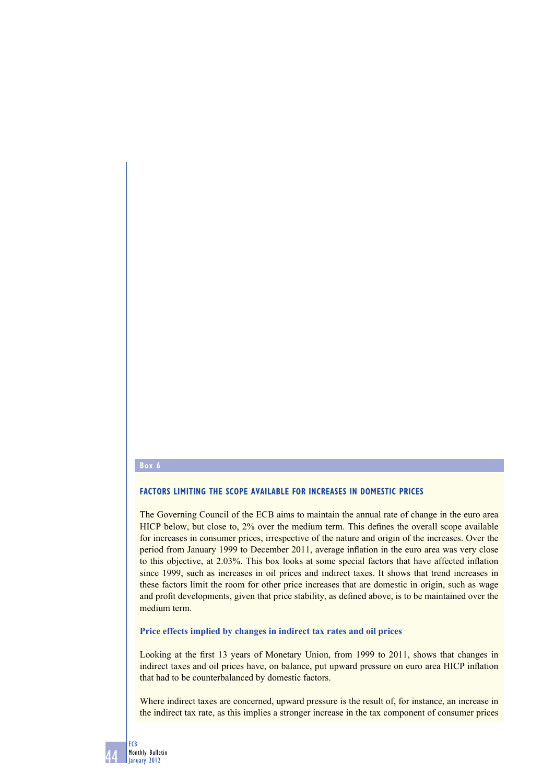#### **Box 6**

## **FACTORS LIMITING THE SCOPE AVAILABLE FOR INCREASES IN DOMESTIC PRICES**

The Governing Council of the ECB aims to maintain the annual rate of change in the euro area HICP below, but close to, 2% over the medium term. This defines the overall scope available for increases in consumer prices, irrespective of the nature and origin of the increases. Over the period from January 1999 to December 2011, average inflation in the euro area was very close to this objective, at 2.03%. This box looks at some special factors that have affected inflation since 1999, such as increases in oil prices and indirect taxes. It shows that trend increases in these factors limit the room for other price increases that are domestic in origin, such as wage and profit developments, given that price stability, as defined above, is to be maintained over the medium term.

### **Price effects implied by changes in indirect tax rates and oil prices**

Looking at the first 13 years of Monetary Union, from 1999 to 2011, shows that changes in indirect taxes and oil prices have, on balance, put upward pressure on euro area HICP inflation that had to be counterbalanced by domestic factors.

Where indirect taxes are concerned, upward pressure is the result of, for instance, an increase in the indirect tax rate, as this implies a stronger increase in the tax component of consumer prices

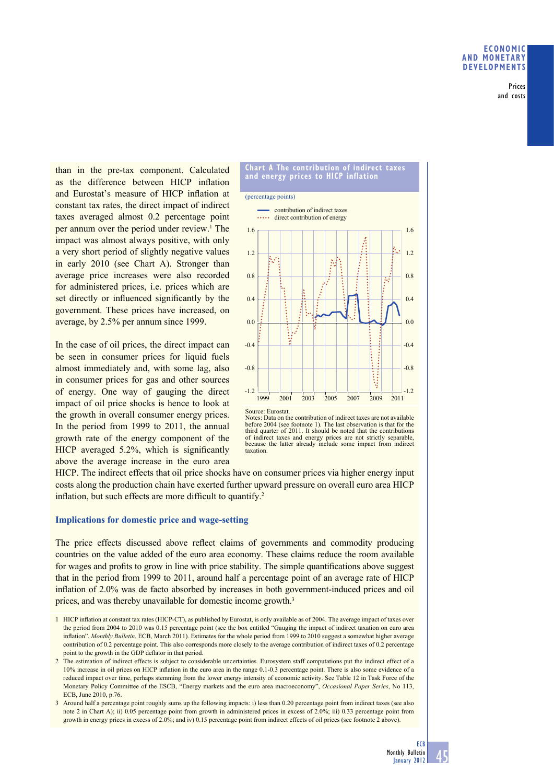Prices and costs

than in the pre-tax component. Calculated as the difference between HICP inflation and Eurostat's measure of HICP inflation at constant tax rates, the direct impact of indirect taxes averaged almost 0.2 percentage point per annum over the period under review.<sup>1</sup> The impact was almost always positive, with only a very short period of slightly negative values in early 2010 (see Chart A). Stronger than average price increases were also recorded for administered prices, i.e. prices which are set directly or influenced significantly by the government. These prices have increased, on average, by 2.5% per annum since 1999.

In the case of oil prices, the direct impact can be seen in consumer prices for liquid fuels almost immediately and, with some lag, also in consumer prices for gas and other sources of energy. One way of gauging the direct impact of oil price shocks is hence to look at the growth in overall consumer energy prices. In the period from 1999 to 2011, the annual growth rate of the energy component of the HICP averaged 5.2%, which is significantly above the average increase in the euro area



Notes: Data on the contribution of indirect taxes are not available before 2004 (see footnote 1). The last observation is that for the third quarter of 2011. It should be noted that the contributions of indirect taxes and energy prices are not strictly separable, because the latter already include some impact from indirect taxation.

HICP. The indirect effects that oil price shocks have on consumer prices via higher energy input costs along the production chain have exerted further upward pressure on overall euro area HICP inflation, but such effects are more difficult to quantify.<sup>2</sup>

### **Implications for domestic price and wage-setting**

The price effects discussed above reflect claims of governments and commodity producing countries on the value added of the euro area economy. These claims reduce the room available for wages and profits to grow in line with price stability. The simple quantifications above suggest that in the period from 1999 to 2011, around half a percentage point of an average rate of HICP inflation of 2.0% was de facto absorbed by increases in both government-induced prices and oil prices, and was thereby unavailable for domestic income growth.3

<sup>1</sup> HICP infl ation at constant tax rates (HICP-CT), as published by Eurostat, is only available as of 2004. The average impact of taxes over the period from 2004 to 2010 was 0.15 percentage point (see the box entitled "Gauging the impact of indirect taxation on euro area inflation", *Monthly Bulletin*, ECB, March 2011). Estimates for the whole period from 1999 to 2010 suggest a somewhat higher average contribution of 0.2 percentage point. This also corresponds more closely to the average contribution of indirect taxes of 0.2 percentage point to the growth in the GDP deflator in that period.

<sup>2</sup> The estimation of indirect effects is subject to considerable uncertainties. Eurosystem staff computations put the indirect effect of a 10% increase in oil prices on HICP inflation in the euro area in the range 0.1-0.3 percentage point. There is also some evidence of a reduced impact over time, perhaps stemming from the lower energy intensity of economic activity. See Table 12 in Task Force of the Monetary Policy Committee of the ESCB, "Energy markets and the euro area macroeconomy", *Occasional Paper Series*, No 113, ECB, June 2010, p.76.

<sup>3</sup> Around half a percentage point roughly sums up the following impacts: i) less than 0.20 percentage point from indirect taxes (see also note 2 in Chart A); ii) 0.05 percentage point from growth in administered prices in excess of 2.0%; iii) 0.33 percentage point from growth in energy prices in excess of 2.0%; and iv) 0.15 percentage point from indirect effects of oil prices (see footnote 2 above).